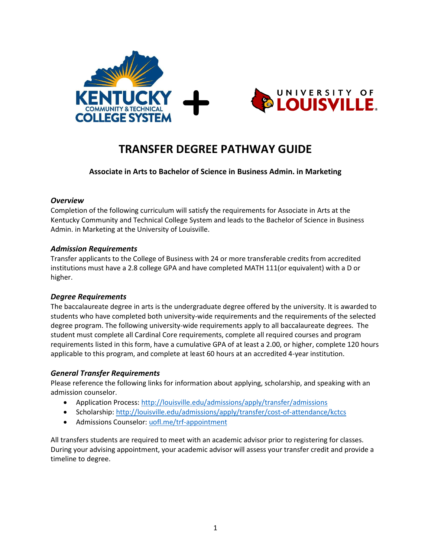



# **TRANSFER DEGREE PATHWAY GUIDE**

**Associate in Arts to Bachelor of Science in Business Admin. in Marketing**

#### *Overview*

Completion of the following curriculum will satisfy the requirements for Associate in Arts at the Kentucky Community and Technical College System and leads to the Bachelor of Science in Business Admin. in Marketing at the University of Louisville.

## *Admission Requirements*

Transfer applicants to the College of Business with 24 or more transferable credits from accredited institutions must have a 2.8 college GPA and have completed MATH 111(or equivalent) with a D or higher.

## *Degree Requirements*

The baccalaureate degree in arts is the undergraduate degree offered by the university. It is awarded to students who have completed both university-wide requirements and the requirements of the selected degree program. The following university-wide requirements apply to all baccalaureate degrees. The student must complete all Cardinal Core requirements, complete all required courses and program requirements listed in this form, have a cumulative GPA of at least a 2.00, or higher, complete 120 hours applicable to this program, and complete at least 60 hours at an accredited 4-year institution.

## *General Transfer Requirements*

Please reference the following links for information about applying, scholarship, and speaking with an admission counselor.

- Application Process[: http://louisville.edu/admissions/apply/transfer/admissions](http://louisville.edu/admissions/apply/transfer/admissions)
- Scholarship[: http://louisville.edu/admissions/apply/transfer/cost-of-attendance/kctcs](http://louisville.edu/admissions/apply/transfer/cost-of-attendance/kctcs)
- Admissions Counselor: uofl.me/trf-appointment

All transfers students are required to meet with an academic advisor prior to registering for classes. During your advising appointment, your academic advisor will assess your transfer credit and provide a timeline to degree.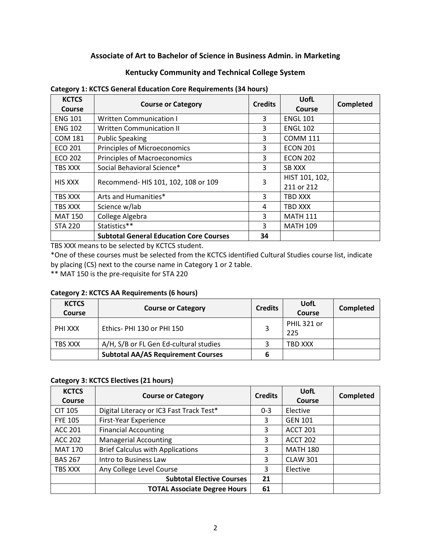## **Associate of Art to Bachelor of Science in Business Admin. in Marketing**

## **Kentucky Community and Technical College System**

| <b>KCTCS</b><br>Course | <b>Course or Category</b>                      | <b>Credits</b> | UofL<br>Course               | <b>Completed</b> |
|------------------------|------------------------------------------------|----------------|------------------------------|------------------|
| <b>ENG 101</b>         | <b>Written Communication I</b>                 | 3              | <b>ENGL 101</b>              |                  |
| <b>ENG 102</b>         | <b>Written Communication II</b>                | 3              | <b>ENGL 102</b>              |                  |
| <b>COM 181</b>         | <b>Public Speaking</b>                         | 3              | <b>COMM 111</b>              |                  |
| <b>ECO 201</b>         | Principles of Microeconomics                   | 3              | <b>ECON 201</b>              |                  |
| <b>ECO 202</b>         | <b>Principles of Macroeconomics</b>            | 3              | <b>ECON 202</b>              |                  |
| TBS XXX                | Social Behavioral Science*                     | 3              | <b>SB XXX</b>                |                  |
| <b>HIS XXX</b>         | Recommend- HIS 101, 102, 108 or 109            | 3              | HIST 101, 102,<br>211 or 212 |                  |
| TBS XXX                | Arts and Humanities*                           | 3              | TBD XXX                      |                  |
| TBS XXX                | Science w/lab                                  | 4              | TBD XXX                      |                  |
| <b>MAT 150</b>         | College Algebra                                | 3              | <b>MATH 111</b>              |                  |
| <b>STA 220</b>         | Statistics**                                   | 3              | <b>MATH 109</b>              |                  |
|                        | <b>Subtotal General Education Core Courses</b> | 34             |                              |                  |

#### **Category 1: KCTCS General Education Core Requirements (34 hours)**

TBS XXX means to be selected by KCTCS student.

\*One of these courses must be selected from the KCTCS identified Cultural Studies course list, indicate by placing (CS) next to the course name in Category 1 or 2 table.

\*\* MAT 150 is the pre-requisite for STA 220

#### **Category 2: KCTCS AA Requirements (6 hours)**

| <b>KCTCS</b><br>Course | <b>Course or Category</b>                 | <b>Credits</b> | UofL<br>Course     | Completed |
|------------------------|-------------------------------------------|----------------|--------------------|-----------|
| PHI XXX                | Ethics-PHI 130 or PHI 150                 |                | PHIL 321 or<br>225 |           |
| TBS XXX                | A/H, S/B or FL Gen Ed-cultural studies    |                | TBD XXX            |           |
|                        | <b>Subtotal AA/AS Requirement Courses</b> |                |                    |           |

#### **Category 3: KCTCS Electives (21 hours)**

| <b>KCTCS</b><br><b>Course</b> | <b>Course or Category</b>                | <b>Credits</b> | <b>UofL</b><br><b>Course</b> | <b>Completed</b> |
|-------------------------------|------------------------------------------|----------------|------------------------------|------------------|
| <b>CIT 105</b>                | Digital Literacy or IC3 Fast Track Test* | $0 - 3$        | Elective                     |                  |
| <b>FYE 105</b>                | First-Year Experience                    | 3              | <b>GEN 101</b>               |                  |
| ACC 201                       | <b>Financial Accounting</b>              | 3              | <b>ACCT 201</b>              |                  |
| <b>ACC 202</b>                | <b>Managerial Accounting</b>             | 3              | <b>ACCT 202</b>              |                  |
| <b>MAT 170</b>                | <b>Brief Calculus with Applications</b>  | 3              | <b>MATH 180</b>              |                  |
| <b>BAS 267</b>                | Intro to Business Law                    | 3              | <b>CLAW 301</b>              |                  |
| TBS XXX                       | Any College Level Course                 | 3              | Elective                     |                  |
|                               | <b>Subtotal Elective Courses</b>         | 21             |                              |                  |
|                               | <b>TOTAL Associate Degree Hours</b>      | 61             |                              |                  |